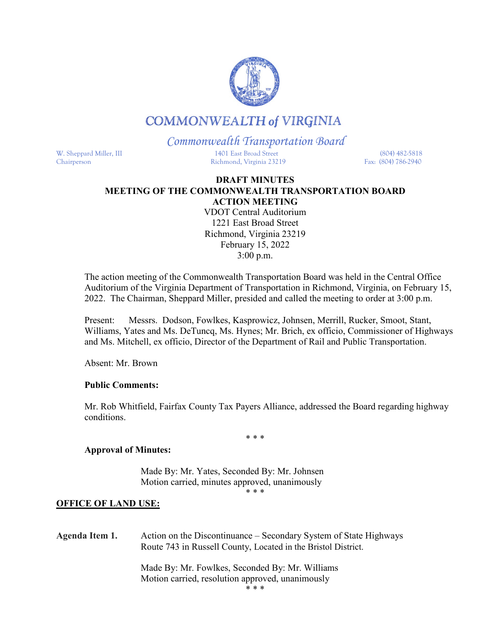

# **COMMONWEALTH of VIRGINIA**

## *Commonwealth Transportation Board*

W. Sheppard Miller, III 1401 East Broad Street (804) 482-5818 Chairperson Richmond, Virginia 23219 Fax: (804) 786-2940

#### **DRAFT MINUTES MEETING OF THE COMMONWEALTH TRANSPORTATION BOARD ACTION MEETING**

VDOT Central Auditorium 1221 East Broad Street Richmond, Virginia 23219 February 15, 2022 3:00 p.m.

The action meeting of the Commonwealth Transportation Board was held in the Central Office Auditorium of the Virginia Department of Transportation in Richmond, Virginia, on February 15, 2022. The Chairman, Sheppard Miller, presided and called the meeting to order at 3:00 p.m.

Present: Messrs. Dodson, Fowlkes, Kasprowicz, Johnsen, Merrill, Rucker, Smoot, Stant, Williams, Yates and Ms. DeTuncq, Ms. Hynes; Mr. Brich, ex officio, Commissioner of Highways and Ms. Mitchell, ex officio, Director of the Department of Rail and Public Transportation.

Absent: Mr. Brown

## **Public Comments:**

 Mr. Rob Whitfield, Fairfax County Tax Payers Alliance, addressed the Board regarding highway conditions.

\* \* \*

#### **Approval of Minutes:**

Made By: Mr. Yates, Seconded By: Mr. Johnsen Motion carried, minutes approved, unanimously

\* \* \*

#### **OFFICE OF LAND USE:**

| Agenda Item 1. | Action on the Discontinuance – Secondary System of State Highways<br>Route 743 in Russell County, Located in the Bristol District. |
|----------------|------------------------------------------------------------------------------------------------------------------------------------|
|                | Made By: Mr. Fowlkes, Seconded By: Mr. Williams<br>Motion carried, resolution approved, unanimously                                |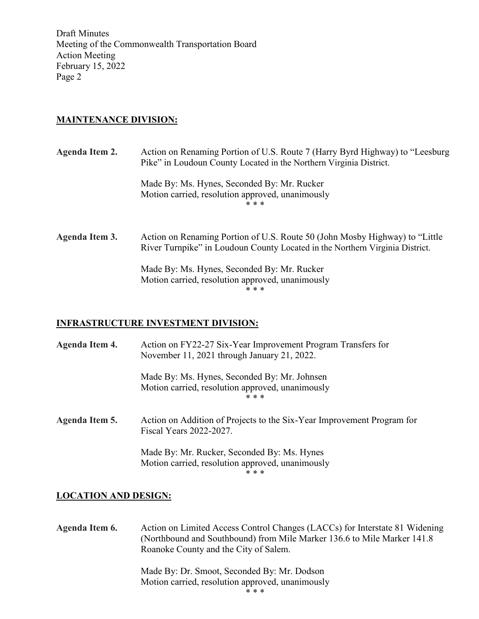Draft Minutes Meeting of the Commonwealth Transportation Board Action Meeting February 15, 2022 Page 2

## **MAINTENANCE DIVISION:**

| Agenda Item 2. | Action on Renaming Portion of U.S. Route 7 (Harry Byrd Highway) to "Leesburg"<br>Pike" in Loudoun County Located in the Northern Virginia District.         |
|----------------|-------------------------------------------------------------------------------------------------------------------------------------------------------------|
|                | Made By: Ms. Hynes, Seconded By: Mr. Rucker<br>Motion carried, resolution approved, unanimously<br>* * *                                                    |
| Agenda Item 3. | Action on Renaming Portion of U.S. Route 50 (John Mosby Highway) to "Little<br>River Turnpike" in Loudoun County Located in the Northern Virginia District. |
|                | Made By: Ms. Hynes, Seconded By: Mr. Rucker<br>Motion carried, resolution approved, unanimously<br>* * *                                                    |

## **INFRASTRUCTURE INVESTMENT DIVISION:**

| Agenda Item 4. | Action on FY22-27 Six-Year Improvement Program Transfers for<br>November 11, 2021 through January 21, 2022. |
|----------------|-------------------------------------------------------------------------------------------------------------|
|                | Made By: Ms. Hynes, Seconded By: Mr. Johnsen<br>Motion carried, resolution approved, unanimously<br>* * *   |
| Agenda Item 5. | Action on Addition of Projects to the Six-Year Improvement Program for<br>Fiscal Years 2022-2027.           |
|                | Made By: Mr. Rucker, Seconded By: Ms. Hynes<br>Motion carried, resolution approved, unanimously<br>* * *    |

#### **LOCATION AND DESIGN:**

**Agenda Item 6.** Action on Limited Access Control Changes (LACCs) for Interstate 81 Widening (Northbound and Southbound) from Mile Marker 136.6 to Mile Marker 141.8 Roanoke County and the City of Salem.

> Made By: Dr. Smoot, Seconded By: Mr. Dodson Motion carried, resolution approved, unanimously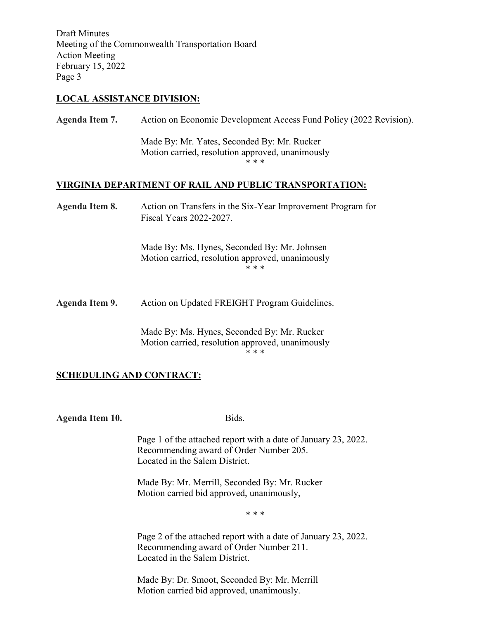Draft Minutes Meeting of the Commonwealth Transportation Board Action Meeting February 15, 2022 Page 3

#### **LOCAL ASSISTANCE DIVISION:**

**Agenda Item 7.** Action on Economic Development Access Fund Policy (2022 Revision).

Made By: Mr. Yates, Seconded By: Mr. Rucker Motion carried, resolution approved, unanimously \* \* \*

#### **VIRGINIA DEPARTMENT OF RAIL AND PUBLIC TRANSPORTATION:**

**Agenda Item 8.** Action on Transfers in the Six-Year Improvement Program for Fiscal Years 2022-2027.

> Made By: Ms. Hynes, Seconded By: Mr. Johnsen Motion carried, resolution approved, unanimously \* \* \*

**Agenda Item 9.** Action on Updated FREIGHT Program Guidelines.

Made By: Ms. Hynes, Seconded By: Mr. Rucker Motion carried, resolution approved, unanimously \* \* \*

#### **SCHEDULING AND CONTRACT:**

**Agenda Item 10.** Bids.

Page 1 of the attached report with a date of January 23, 2022. Recommending award of Order Number 205. Located in the Salem District.

Made By: Mr. Merrill, Seconded By: Mr. Rucker Motion carried bid approved, unanimously,

\* \* \*

Page 2 of the attached report with a date of January 23, 2022. Recommending award of Order Number 211. Located in the Salem District.

Made By: Dr. Smoot, Seconded By: Mr. Merrill Motion carried bid approved, unanimously.